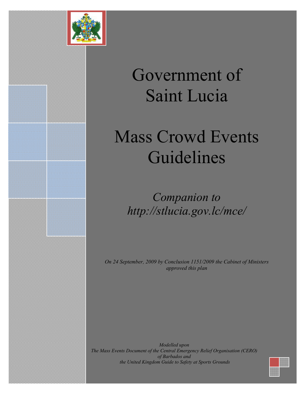

# Government of Saint Lucia

# Mass Crowd Events Guidelines

# *Companion to http://stlucia.gov.lc/mce/*

*On 24 September, 2009 by Conclusion 1151/2009 the Cabinet of Ministers approved this plan* 

*Modelled upon The Mass Events Document of the Central Emergency Relief Organisation (CERO) of Barbados and the United Kingdom Guide to Safety at Sports Grounds*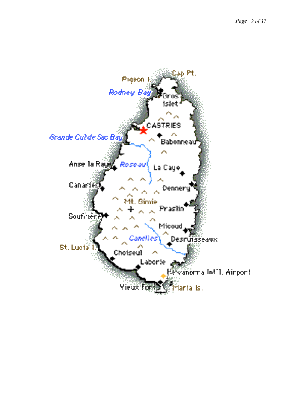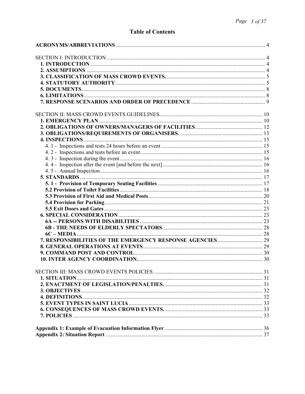# **Table of Contents**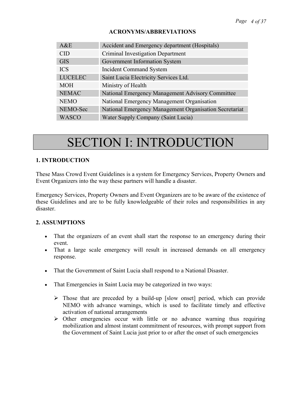| A&E            | Accident and Emergency department (Hospitals)          |
|----------------|--------------------------------------------------------|
| <b>CID</b>     | Criminal Investigation Department                      |
| <b>GIS</b>     | Government Information System                          |
| <b>ICS</b>     | <b>Incident Command System</b>                         |
| <b>LUCELEC</b> | Saint Lucia Electricity Services Ltd.                  |
| <b>MOH</b>     | Ministry of Health                                     |
| <b>NEMAC</b>   | National Emergency Management Advisory Committee       |
| <b>NEMO</b>    | National Emergency Management Organisation             |
| NEMO-Sec       | National Emergency Management Organisation Secretariat |
| <b>WASCO</b>   | Water Supply Company (Saint Lucia)                     |

#### **ACRONYMS/ABBREVIATIONS**

# SECTION I: INTRODUCTION

#### **1. INTRODUCTION**

These Mass Crowd Event Guidelines is a system for Emergency Services, Property Owners and Event Organizers into the way these partners will handle a disaster.

Emergency Services, Property Owners and Event Organizers are to be aware of the existence of these Guidelines and are to be fully knowledgeable of their roles and responsibilities in any disaster.

#### **2. ASSUMPTIONS**

- That the organizers of an event shall start the response to an emergency during their event.
- That a large scale emergency will result in increased demands on all emergency response.
- That the Government of Saint Lucia shall respond to a National Disaster.
- That Emergencies in Saint Lucia may be categorized in two ways:
	- $\triangleright$  Those that are preceded by a build-up [slow onset] period, which can provide NEMO with advance warnings, which is used to facilitate timely and effective activation of national arrangements
	- $\triangleright$  Other emergencies occur with little or no advance warning thus requiring mobilization and almost instant commitment of resources, with prompt support from the Government of Saint Lucia just prior to or after the onset of such emergencies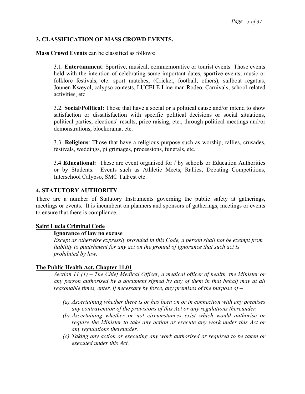#### **3. CLASSIFICATION OF MASS CROWD EVENTS.**

**Mass Crowd Events** can be classified as follows:

3.1. **Entertainment**: Sportive, musical, commemorative or tourist events. Those events held with the intention of celebrating some important dates, sportive events, music or folklore festivals, etc: sport matches, (Cricket, football, others), sailboat regattas, Jounen Kweyol, calypso contests, LUCELE Line-man Rodeo, Carnivals, school-related activities, etc.

3.2. **Social/Political:** Those that have a social or a political cause and/or intend to show satisfaction or dissatisfaction with specific political decisions or social situations, political parties, elections' results, price raising, etc., through political meetings and/or demonstrations, blockorama, etc.

3.3. **Religious**: Those that have a religious purpose such as worship, rallies, crusades, festivals, weddings, pilgrimages, processions, funerals, etc.

3.4 **Educational:** These are event organised for / by schools or Education Authorities or by Students. Events such as Athletic Meets, Rallies, Debating Competitions, Interschool Calypso, SMC TalFest etc.

#### **4. STATUTORY AUTHORITY**

There are a number of Statutory Instruments governing the public safety at gatherings, meetings or events. It is incumbent on planners and sponsors of gatherings, meetings or events to ensure that there is compliance.

#### **Saint Lucia Criminal Code**

#### **Ignorance of law no excuse**

*Except as otherwise expressly provided in this Code, a person shall not be exempt from liability to punishment for any act on the ground of ignorance that such act is prohibited by law.* 

#### **The Public Health Act, Chapter 11.01**

*Section 11 (1) – The Chief Medical Officer, a medical officer of health, the Minister or any person authorised by a document signed by any of them in that behalf may at all reasonable times, enter, if necessary by force, any premises of the purpose of –* 

- *(a) Ascertaining whether there is or has been on or in connection with any premises any contravention of the provisions of this Act or any regulations thereunder.*
- *(b) Ascertaining whether or not circumstances exist which would authorise or require the Minister to take any action or execute any work under this Act or any regulations thereunder.*
- *(c) Taking any action or executing any work authorised or required to be taken or executed under this Act.*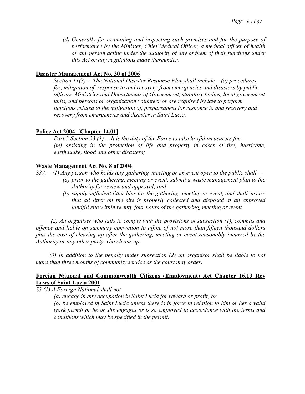*(d) Generally for examining and inspecting such premises and for the purpose of performance by the Minister, Chief Medical Officer, a medical officer of health or any person acting under the authority of any of them of their functions under this Act or any regulations made thereunder.* 

#### **Disaster Management Act No. 30 of 2006**

*Section 11(3) -- The National Disaster Response Plan shall include – (a) procedures for, mitigation of, response to and recovery from emergencies and disasters by public officers, Ministries and Departments of Government, statutory bodies, local government units, and persons or organization volunteer or are required by law to perform functions related to the mitigation of, preparedness for response to and recovery and recovery from emergencies and disaster in Saint Lucia.* 

#### **Police Act 2004 [Chapter 14.01]**

*Part 3 Section 23 (1) -- It is the duty of the Force to take lawful measurers for – (m) assisting in the protection of life and property in cases of fire, hurricane, earthquake, flood and other disasters;* 

#### **Waste Management Act No. 8 of 2004**

*S37. – (1) Any person who holds any gathering, meeting or an event open to the public shall –* 

- *(a) prior to the gathering, meeting or event, submit a waste management plan to the Authority for review and approval; and*
- *(b) supply sufficient litter bins for the gathering, meeting or event, and shall ensure that all litter on the site is properly collected and disposed at an approved landfill site within twenty-four hours of the gathering, meeting or event.*

 *(2) An organiser who fails to comply with the provisions of subsection (1), commits and offence and liable on summary conviction to affine of not more than fifteen thousand dollars plus the cost of clearing up after the gathering, meeting or event reasonably incurred by the Authority or any other party who cleans up.* 

 *(3) In addition to the penalty under subsection (2) an organisor shall be liable to not more than three months of community service as the court may order.* 

#### **Foreign National and Commonwealth Citizens (Employment) Act Chapter 16.13 Rev Laws of Saint Lucia 2001**

*S3 (1) A Foreign National shall not* 

*(a) engage in any occupation in Saint Lucia for reward or profit; or* 

*(b) be employed in Saint Lucia unless there is in force in relation to him or her a valid work permit or he or she engages or is so employed in accordance with the terms and conditions which may be specified in the permit.*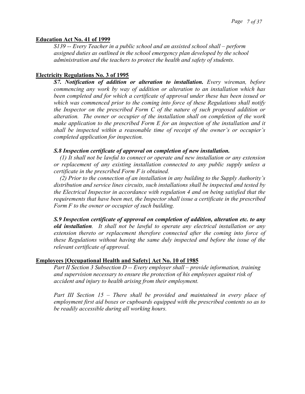#### **Education Act No. 41 of 1999**

*S139 -- Every Teacher in a public school and an assisted school shall – perform assigned duties as outlined in the school emergency plan developed by the school administration and the teachers to protect the health and safety of students.* 

#### **Electricity Regulations No. 3 of 1995**

*S7. Notification of addition or alteration to installation. Every wireman, before commencing any work by way of addition or alteration to an installation which has been completed and for which a certificate of approval under these has been issued or which was commenced prior to the coming into force of these Regulations shall notify the Inspector on the prescribed Form C of the nature of such proposed addition or alteration. The owner or occupier of the installation shall on completion of the work make application to the prescribed Form E for an inspection of the installation and it shall be inspected within a reasonable time of receipt of the owner's or occupier's completed application for inspection.* 

#### *S.8 Inspection certificate of approval on completion of new installation.*

 *(1) It shall not be lawful to connect or operate and new installation or any extension or replacement of any existing installation connected to any public supply unless a certificate in the prescribed Form F is obtained.* 

 *(2) Prior to the connection of an installation in any building to the Supply Authority's distribution and service lines circuits, such installations shall be inspected and tested by the Electrical Inspector in accordance with regulation 4 and on being satisfied that the requirements that have been met, the Inspector shall issue a certificate in the prescribed Form F to the owner or occupier of such building.* 

*S.9 Inspection certificate of approval on completion of addition, alteration etc. to any old installation. It shall not be lawful to operate any electrical installation or any extension thereto or replacement therefore connected after the coming into force of these Regulations without having the same duly inspected and before the issue of the relevant certificate of approval.* 

#### **Employees [Occupational Health and Safety] Act No. 10 of 1985**

*Part II Section 3 Subsection D -- Every employer shall – provide information, training and supervision necessary to ensure the protection of his employees against risk of accident and injury to health arising from their employment.* 

*Part III Section 15 – There shall be provided and maintained in every place of employment first aid boxes or cupboards equipped with the prescribed contents so as to be readily accessible during all working hours.*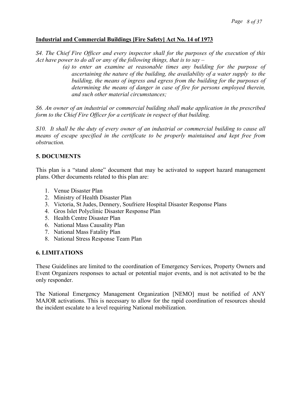#### **Industrial and Commercial Buildings [Fire Safety] Act No. 14 of 1973**

*S4. The Chief Fire Officer and every inspector shall for the purposes of the execution of this Act have power to do all or any of the following things, that is to say –* 

> *(a) to enter an examine at reasonable times any building for the purpose of ascertaining the nature of the building, the availability of a water supply to the building, the means of ingress and egress from the building for the purposes of determining the means of danger in case of fire for persons employed therein, and such other material circumstances;*

*S6. An owner of an industrial or commercial building shall make application in the prescribed form to the Chief Fire Officer for a certificate in respect of that building.* 

*S10. It shall be the duty of every owner of an industrial or commercial building to cause all means of escape specified in the certificate to be properly maintained and kept free from obstruction.* 

#### **5. DOCUMENTS**

This plan is a "stand alone" document that may be activated to support hazard management plans. Other documents related to this plan are:

- 1. Venue Disaster Plan
- 2. Ministry of Health Disaster Plan
- 3. Victoria, St Judes, Dennery, Soufriere Hospital Disaster Response Plans
- 4. Gros Islet Polyclinic Disaster Response Plan
- 5. Health Centre Disaster Plan
- 6. National Mass Causality Plan
- 7. National Mass Fatality Plan
- 8. National Stress Response Team Plan

#### **6. LIMITATIONS**

These Guidelines are limited to the coordination of Emergency Services, Property Owners and Event Organizers responses to actual or potential major events, and is not activated to be the only responder.

The National Emergency Management Organization [NEMO] must be notified of ANY MAJOR activations. This is necessary to allow for the rapid coordination of resources should the incident escalate to a level requiring National mobilization.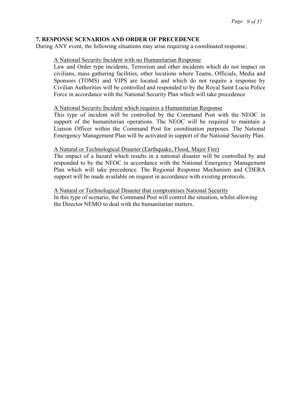#### **7. RESPONSE SCENARIOS AND ORDER OF PRECEDENCE**

During ANY event, the following situations may arise requiring a coordinated response;

#### A National Security Incident with no Humanitarian Response

Law and Order type incidents, Terrorism and other incidents which do not impact on civilians, mass gathering facilities, other locations where Teams, Officials, Media and Sponsors (TOMS) and VIPS are located and which do not require a response by Civilian Authorities will be controlled and responded to by the Royal Saint Lucia Police Force in accordance with the National Security Plan which will take precedence

#### A National Security Incident which requires a Humanitarian Response

This type of incident will be controlled by the Command Post with the NEOC in support of the humanitarian operations. The NEOC will be required to maintain a Liaison Officer within the Command Post for coordination purposes. The National Emergency Management Plan will be activated in support of the National Security Plan.

#### A Natural or Technological Disaster (Earthquake, Flood, Major Fire)

The impact of a hazard which results in a national disaster will be controlled by and responded to by the NEOC in accordance with the National Emergency Management Plan which will take precedence. The Regional Response Mechanism and CDERA support will be made available on request in accordance with existing protocols.

A Natural or Technological Disaster that compromises National Security In this type of scenario, the Command Post will control the situation, whilst allowing the Director NEMO to deal with the humanitarian matters.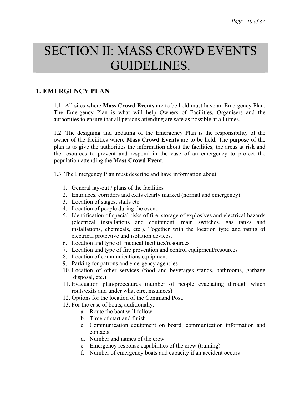# SECTION II: MASS CROWD EVENTS GUIDELINES.

# **1. EMERGENCY PLAN**

1.1 All sites where **Mass Crowd Events** are to be held must have an Emergency Plan. The Emergency Plan is what will help Owners of Facilities, Organisers and the authorities to ensure that all persons attending are safe as possible at all times.

1.2. The designing and updating of the Emergency Plan is the responsibility of the owner of the facilities where **Mass Crowd Events** are to be held. The purpose of the plan is to give the authorities the information about the facilities, the areas at risk and the resources to prevent and respond in the case of an emergency to protect the population attending the **Mass Crowd Event**.

1.3. The Emergency Plan must describe and have information about:

- 1. General lay-out / plans of the facilities
- 2. Entrances, corridors and exits clearly marked (normal and emergency)
- 3. Location of stages, stalls etc.
- 4. Location of people during the event.
- 5. Identification of special risks of fire, storage of explosives and electrical hazards (electrical installations and equipment, main switches, gas tanks and installations, chemicals, etc.). Together with the location type and rating of electrical protective and isolation devices.
- 6. Location and type of medical facilities/resources
- 7. Location and type of fire prevention and control equipment/resources
- 8. Location of communications equipment
- 9. Parking for patrons and emergency agencies
- 10. Location of other services (food and beverages stands, bathrooms, garbage disposal, etc.)
- 11. Evacuation plan/procedures (number of people evacuating through which routs/exits and under what circumstances)
- 12. Options for the location of the Command Post.
- 13. For the case of boats, additionally:
	- a. Route the boat will follow
	- b. Time of start and finish
	- c. Communication equipment on board, communication information and contacts.
	- d. Number and names of the crew
	- e. Emergency response capabilities of the crew (training)
	- f. Number of emergency boats and capacity if an accident occurs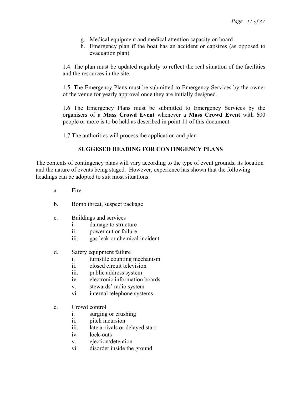- g. Medical equipment and medical attention capacity on board
- h. Emergency plan if the boat has an accident or capsizes (as opposed to evacuation plan)

1.4. The plan must be updated regularly to reflect the real situation of the facilities and the resources in the site.

1.5. The Emergency Plans must be submitted to Emergency Services by the owner of the venue for yearly approval once they are initially designed.

1.6 The Emergency Plans must be submitted to Emergency Services by the organisers of a **Mass Crowd Event** whenever a **Mass Crowd Event** with 600 people or more is to be held as described in point 11 of this document.

1.7 The authorities will process the application and plan

#### **SUGGESED HEADING FOR CONTINGENCY PLANS**

The contents of contingency plans will vary according to the type of event grounds, its location and the nature of events being staged. However, experience has shown that the following headings can be adopted to suit most situations:

- a. Fire
- b. Bomb threat, suspect package
- c. Buildings and services
	- i. damage to structure
	- ii. power cut or failure
	- iii. gas leak or chemical incident
- d. Safety equipment failure
	- i. turnstile counting mechanism
	- ii. closed circuit television
	- iii. public address system
	- iv. electronic information boards
	- v. stewards' radio system
	- vi. internal telephone systems
- e. Crowd control
	- i. surging or crushing
	- ii. pitch incursion
	- iii. late arrivals or delayed start
	- iv. lock-outs
	- v. ejection/detention
	- vi. disorder inside the ground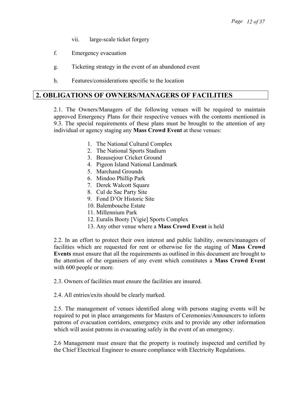- vii. large-scale ticket forgery
- f. Emergency evacuation
- g. Ticketing strategy in the event of an abandoned event
- h. Features/considerations specific to the location

#### **2. OBLIGATIONS OF OWNERS/MANAGERS OF FACILITIES**

2.1. The Owners/Managers of the following venues will be required to maintain approved Emergency Plans for their respective venues with the contents mentioned in 9.3. The special requirements of these plans must be brought to the attention of any individual or agency staging any **Mass Crowd Event** at these venues:

- 1. The National Cultural Complex
- 2. The National Sports Stadium
- 3. Beausejour Cricket Ground
- 4. Pigeon Island National Landmark
- 5. Marchand Grounds
- 6. Mindoo Phillip Park
- 7. Derek Walcott Square
- 8. Cul de Sac Party Site
- 9. Fond D'Or Historic Site
- 10. Balembouche Estate
- 11. Millennium Park
- 12. Euralis Booty [Vigie] Sports Complex
- 13. Any other venue where a **Mass Crowd Event** is held

2.2. In an effort to protect their own interest and public liability, owners/managers of facilities which are requested for rent or otherwise for the staging of **Mass Crowd Events** must ensure that all the requirements as outlined in this document are brought to the attention of the organisers of any event which constitutes a **Mass Crowd Event**  with 600 people or more.

2.3. Owners of facilities must ensure the facilities are insured.

2.4. All entries/exits should be clearly marked.

2.5. The management of venues identified along with persons staging events will be required to put in place arrangements for Masters of Ceremonies/Announcers to inform patrons of evacuation corridors, emergency exits and to provide any other information which will assist patrons in evacuating safely in the event of an emergency.

2.6 Management must ensure that the property is routinely inspected and certified by the Chief Electrical Engineer to ensure compliance with Electricity Regulations.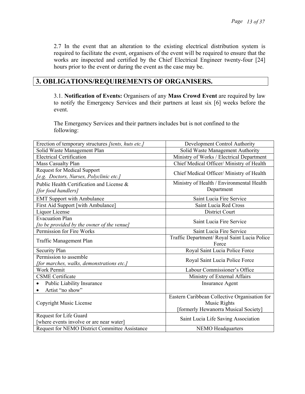2.7 In the event that an alteration to the existing electrical distribution system is required to facilitate the event, organisers of the event will be required to ensure that the works are inspected and certified by the Chief Electrical Engineer twenty-four [24] hours prior to the event or during the event as the case may be.

# **3. OBLIGATIONS/REQUIREMENTS OF ORGANISERS.**

3.1. **Notification of Events:** Organisers of any **Mass Crowd Event** are required by law to notify the Emergency Services and their partners at least six [6] weeks before the event.

The Emergency Services and their partners includes but is not confined to the following:

| Erection of temporary structures [tents, huts etc.] | Development Control Authority                 |  |
|-----------------------------------------------------|-----------------------------------------------|--|
| Solid Waste Management Plan                         | Solid Waste Management Authority              |  |
| <b>Electrical Certification</b>                     | Ministry of Works / Electrical Department     |  |
| Mass Casualty Plan                                  | Chief Medical Officer/ Ministry of Health     |  |
| <b>Request for Medical Support</b>                  | Chief Medical Officer/ Ministry of Health     |  |
| [e.g. Doctors, Nurses, Polyclinic etc.]             |                                               |  |
| Public Health Certification and License &           | Ministry of Health / Environmental Health     |  |
| [for food handlers]                                 | Department                                    |  |
| <b>EMT Support with Ambulance</b>                   | Saint Lucia Fire Service                      |  |
| First Aid Support [with Ambulance]                  | Saint Lucia Red Cross                         |  |
| Liquor License                                      | District Court                                |  |
| <b>Evacuation Plan</b>                              | Saint Lucia Fire Service                      |  |
| [to be provided by the owner of the venue]          |                                               |  |
| Permission for Fire Works                           | Saint Lucia Fire Service                      |  |
| <b>Traffic Management Plan</b>                      | Traffic Department/ Royal Saint Lucia Police  |  |
|                                                     | Force                                         |  |
| Security Plan                                       | Royal Saint Lucia Police Force                |  |
| Permission to assemble                              | Royal Saint Lucia Police Force                |  |
| [for marches, walks, demonstrations etc.]           |                                               |  |
| Work Permit                                         | Labour Commissioner's Office                  |  |
| <b>CSME</b> Certificate                             | Ministry of External Affairs                  |  |
| Public Liability Insurance                          | <b>Insurance Agent</b>                        |  |
| Artist "no show"<br>$\bullet$                       |                                               |  |
|                                                     | Eastern Caribbean Collective Organisation for |  |
| Copyright Music License                             | Music Rights                                  |  |
|                                                     | [formerly Hewanorra Musical Society]          |  |
| Request for Life Guard                              |                                               |  |
| [where events involve or are near water]            | Saint Lucia Life Saving Association           |  |
| Request for NEMO District Committee Assistance      | <b>NEMO Headquarters</b>                      |  |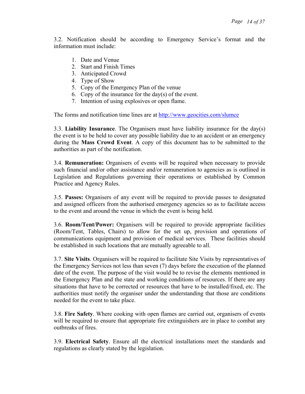3.2. Notification should be according to Emergency Service's format and the information must include:

- 1. Date and Venue
- 2. Start and Finish Times
- 3. Anticipated Crowd
- 4. Type of Show
- 5. Copy of the Emergency Plan of the venue
- 6. Copy of the insurance for the day(s) of the event.
- 7. Intention of using explosives or open flame.

The forms and notification time lines are at http://www.geocities.com/slumce

3.3. **Liability Insurance**. The Organisers must have liability insurance for the day(s) the event is to be held to cover any possible liability due to an accident or an emergency during the **Mass Crowd Event**. A copy of this document has to be submitted to the authorities as part of the notification.

3.4. **Remuneration:** Organisers of events will be required when necessary to provide such financial and/or other assistance and/or remuneration to agencies as is outlined in Legislation and Regulations governing their operations or established by Common Practice and Agency Rules.

3.5. **Passes:** Organisers of any event will be required to provide passes to designated and assigned officers from the authorised emergency agencies so as to facilitate access to the event and around the venue in which the event is being held.

3.6. **Room/Tent/Power:** Organisers will be required to provide appropriate facilities (Room/Tent, Tables, Chairs) to allow for the set up, provision and operations of communications equipment and provision of medical services. These facilities should be established in such locations that are mutually agreeable to all.

3.7. **Site Visits**. Organisers will be required to facilitate Site Visits by representatives of the Emergency Services not less than seven (7) days before the execution of the planned date of the event. The purpose of the visit would be to revise the elements mentioned in the Emergency Plan and the state and working conditions of resources. If there are any situations that have to be corrected or resources that have to be installed/fixed, etc. The authorities must notify the organiser under the understanding that those are conditions needed for the event to take place.

3.8. **Fire Safety**. Where cooking with open flames are carried out, organisers of events will be required to ensure that appropriate fire extinguishers are in place to combat any outbreaks of fires.

3.9. **Electrical Safety**. Ensure all the electrical installations meet the standards and regulations as clearly stated by the legislation.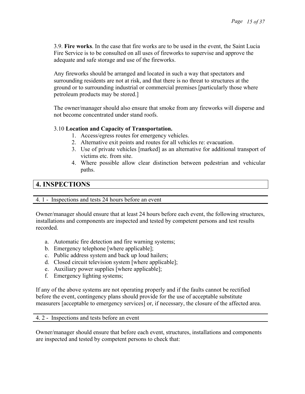3.9. **Fire works**. In the case that fire works are to be used in the event, the Saint Lucia Fire Service is to be consulted on all uses of fireworks to supervise and approve the adequate and safe storage and use of the fireworks.

Any fireworks should be arranged and located in such a way that spectators and surrounding residents are not at risk, and that there is no threat to structures at the ground or to surrounding industrial or commercial premises [particularly those where petroleum products may be stored.]

The owner/manager should also ensure that smoke from any fireworks will disperse and not become concentrated under stand roofs.

#### 3.10 **Location and Capacity of Transportation.**

- 1. Access/egress routes for emergency vehicles.
- 2. Alternative exit points and routes for all vehicles re: evacuation.
- 3. Use of private vehicles [marked] as an alternative for additional transport of victims etc. from site.
- 4. Where possible allow clear distinction between pedestrian and vehicular paths.

## **4. INSPECTIONS**

#### 4. 1 - Inspections and tests 24 hours before an event

Owner/manager should ensure that at least 24 hours before each event, the following structures, installations and components are inspected and tested by competent persons and test results recorded.

- a. Automatic fire detection and fire warning systems;
- b. Emergency telephone [where applicable];
- c. Public address system and back up loud hailers;
- d. Closed circuit television system [where applicable];
- e. Auxiliary power supplies [where applicable];
- f. Emergency lighting systems;

If any of the above systems are not operating properly and if the faults cannot be rectified before the event, contingency plans should provide for the use of acceptable substitute measurers [acceptable to emergency services] or, if necessary, the closure of the affected area.

#### 4. 2 - Inspections and tests before an event

Owner/manager should ensure that before each event, structures, installations and components are inspected and tested by competent persons to check that: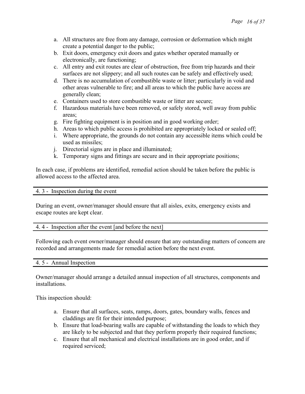- a. All structures are free from any damage, corrosion or deformation which might create a potential danger to the public;
- b. Exit doors, emergency exit doors and gates whether operated manually or electronically, are functioning;
- c. All entry and exit routes are clear of obstruction, free from trip hazards and their surfaces are not slippery; and all such routes can be safely and effectively used;
- d. There is no accumulation of combustible waste or litter; particularly in void and other areas vulnerable to fire; and all areas to which the public have access are generally clean;
- e. Containers used to store combustible waste or litter are secure;
- f. Hazardous materials have been removed, or safely stored, well away from public areas;
- g. Fire fighting equipment is in position and in good working order;
- h. Areas to which public access is prohibited are appropriately locked or sealed off;
- i. Where appropriate, the grounds do not contain any accessible items which could be used as missiles;
- j. Directorial signs are in place and illuminated;
- k. Temporary signs and fittings are secure and in their appropriate positions;

In each case, if problems are identified, remedial action should be taken before the public is allowed access to the affected area.

#### 4. 3 - Inspection during the event

During an event, owner/manager should ensure that all aisles, exits, emergency exists and escape routes are kept clear.

#### 4. 4 - Inspection after the event [and before the next]

Following each event owner/manager should ensure that any outstanding matters of concern are recorded and arrangements made for remedial action before the next event.

4. 5 - Annual Inspection

Owner/manager should arrange a detailed annual inspection of all structures, components and installations.

This inspection should:

- a. Ensure that all surfaces, seats, ramps, doors, gates, boundary walls, fences and claddings are fit for their intended purpose;
- b. Ensure that load-bearing walls are capable of withstanding the loads to which they are likely to be subjected and that they perform properly their required functions;
- c. Ensure that all mechanical and electrical installations are in good order, and if required serviced;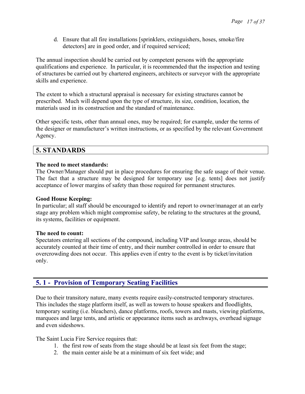d. Ensure that all fire installations [sprinklers, extinguishers, hoses, smoke/fire detectors] are in good order, and if required serviced;

The annual inspection should be carried out by competent persons with the appropriate qualifications and experience. In particular, it is recommended that the inspection and testing of structures be carried out by chartered engineers, architects or surveyor with the appropriate skills and experience.

The extent to which a structural appraisal is necessary for existing structures cannot be prescribed. Much will depend upon the type of structure, its size, condition, location, the materials used in its construction and the standard of maintenance.

Other specific tests, other than annual ones, may be required; for example, under the terms of the designer or manufacturer's written instructions, or as specified by the relevant Government Agency.

# **5. STANDARDS**

#### **The need to meet standards:**

The Owner/Manager should put in place procedures for ensuring the safe usage of their venue. The fact that a structure may be designed for temporary use [e.g. tents] does not justify acceptance of lower margins of safety than those required for permanent structures.

#### **Good House Keeping:**

In particular; all staff should be encouraged to identify and report to owner/manager at an early stage any problem which might compromise safety, be relating to the structures at the ground, its systems, facilities or equipment.

#### **The need to count:**

Spectators entering all sections of the compound, including VIP and lounge areas, should be accurately counted at their time of entry, and their number controlled in order to ensure that overcrowding does not occur. This applies even if entry to the event is by ticket/invitation only.

# **5. 1 - Provision of Temporary Seating Facilities**

Due to their transitory nature, many events require easily-constructed temporary structures. This includes the stage platform itself, as well as towers to house speakers and floodlights, temporary seating (i.e. bleachers), dance platforms, roofs, towers and masts, viewing platforms, marquees and large tents, and artistic or appearance items such as archways, overhead signage and even sideshows.

The Saint Lucia Fire Service requires that:

- 1. the first row of seats from the stage should be at least six feet from the stage;
- 2. the main center aisle be at a minimum of six feet wide; and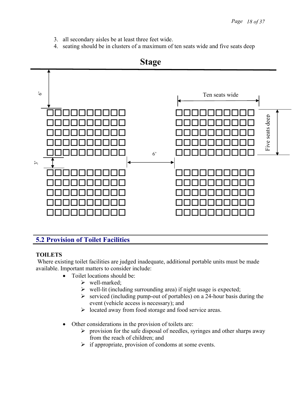- 3. all secondary aisles be at least three feet wide.
- 4. seating should be in clusters of a maximum of ten seats wide and five seats deep



# **Stage**

# **5.2 Provision of Toilet Facilities**

#### **TOILETS**

 Where existing toilet facilities are judged inadequate, additional portable units must be made available. Important matters to consider include:

- Toilet locations should be:
	- $\triangleright$  well-marked:
	- $\triangleright$  well-lit (including surrounding area) if night usage is expected;
	- $\triangleright$  serviced (including pump-out of portables) on a 24-hour basis during the event (vehicle access is necessary); and
	- $\triangleright$  located away from food storage and food service areas.
- Other considerations in the provision of toilets are:
	- $\triangleright$  provision for the safe disposal of needles, syringes and other sharps away from the reach of children; and
	- $\triangleright$  if appropriate, provision of condoms at some events.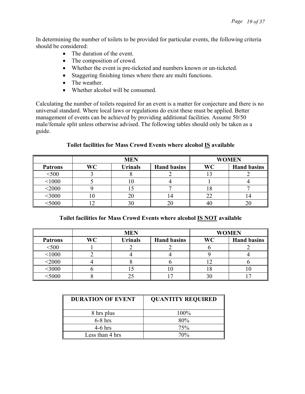In determining the number of toilets to be provided for particular events, the following criteria should be considered:

- The duration of the event.
- The composition of crowd.
- Whether the event is pre-ticketed and numbers known or un-ticketed.
- Staggering finishing times where there are multi functions.
- The weather.
- Whether alcohol will be consumed.

Calculating the number of toilets required for an event is a matter for conjecture and there is no universal standard. Where local laws or regulations do exist these must be applied. Better management of events can be achieved by providing additional facilities. Assume 50/50 male/female split unless otherwise advised. The following tables should only be taken as a guide.

#### **Toilet facilities for Mass Crowd Events where alcohol IS available**

|                | <b>MEN</b> |                |                    | <b>WOMEN</b> |                    |
|----------------|------------|----------------|--------------------|--------------|--------------------|
| <b>Patrons</b> | WC         | <b>Urinals</b> | <b>Hand basins</b> | <b>WC</b>    | <b>Hand basins</b> |
| $<$ 500        |            |                |                    |              |                    |
| < 1000         |            |                |                    |              |                    |
| $<$ 2000       |            |                |                    |              |                    |
| $<$ 3000       |            |                | ، 4                | 22           | 14                 |
| $5000$         |            | ЭU             |                    |              |                    |

#### **Toilet facilities for Mass Crowd Events where alcohol IS NOT available**

|                | <b>MEN</b> |                | <b>WOMEN</b>       |           |                    |
|----------------|------------|----------------|--------------------|-----------|--------------------|
| <b>Patrons</b> | WC         | <b>Urinals</b> | <b>Hand basins</b> | <b>WC</b> | <b>Hand basins</b> |
| $<$ 500        |            |                |                    |           |                    |
| < 1000         |            |                |                    |           |                    |
| $2000$         |            |                |                    |           |                    |
| $<$ 3000       |            |                |                    | Ιð        |                    |
| مممء           |            |                |                    |           |                    |

| <b>DURATION OF EVENT</b> | <b>QUANTITY REQUIRED</b> |
|--------------------------|--------------------------|
| 8 hrs plus               | 100%                     |
| $6-8$ hrs                | 80%                      |
| $4-6$ hrs                | 75%                      |
| Less than 4 hrs          | 70%                      |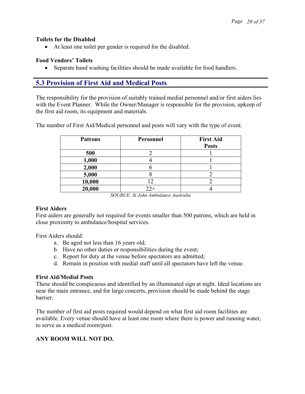#### **Toilets for the Disabled**

• At least one toilet per gender is required for the disabled.

#### **Food Vendors' Toilets**

• Separate hand washing facilities should be made available for food handlers.

# **5.3 Provision of First Aid and Medical Posts**

The responsibility for the provision of suitably trained medial personnel and/or first aiders lies with the Event Planner. While the Owner/Manager is responsible for the provision, upkeep of the first aid room, its equipment and materials.

| <b>Patrons</b> | Personnel | <b>First Aid</b><br><b>Posts</b> |
|----------------|-----------|----------------------------------|
| 500            |           |                                  |
| 1,000          |           |                                  |
| 2,000          |           |                                  |
| 5,000          |           |                                  |
| 10,000         | 12        |                                  |
| 20,000         | $22+$     |                                  |

The number of First Aid/Medical personnel and posts will vary with the type of event.

*SOURCE: St John Ambulance Australia* 

#### **First Aiders**

First aiders are generally not required for events smaller than 500 patrons, which are held in close proximity to ambulance/hospital services.

First Aiders should:

- a. Be aged not less than 16 years old;
- b. Have no other duties or responsibilities during the event;
- c. Report for duty at the venue before spectators are admitted;
- d. Remain in position with medial staff until all spectators have left the venue.

#### **First Aid/Medial Posts**

These should be conspicuous and identified by an illuminated sign at night. Ideal locations are near the main entrance, and for large concerts, provision should be made behind the stage barrier.

The number of first aid posts required would depend on what first aid room facilities are available. Every venue should have at least one room where there is power and running water, to serve as a medical room/post.

### **ANY ROOM WILL NOT DO.**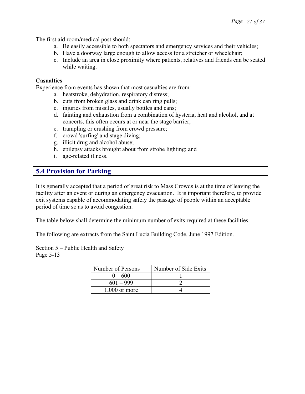The first aid room/medical post should:

- a. Be easily accessible to both spectators and emergency services and their vehicles;
- b. Have a doorway large enough to allow access for a stretcher or wheelchair;
- c. Include an area in close proximity where patients, relatives and friends can be seated while waiting.

#### **Casualties**

Experience from events has shown that most casualties are from:

- a. heatstroke, dehydration, respiratory distress;
- b. cuts from broken glass and drink can ring pulls;
- c. injuries from missiles, usually bottles and cans;
- d. fainting and exhaustion from a combination of hysteria, heat and alcohol, and at concerts, this often occurs at or near the stage barrier;
- e. trampling or crushing from crowd pressure;
- f. crowd 'surfing' and stage diving;
- g. illicit drug and alcohol abuse;
- h. epilepsy attacks brought about from strobe lighting; and
- i. age-related illness.

## **5.4 Provision for Parking**

It is generally accepted that a period of great risk to Mass Crowds is at the time of leaving the facility after an event or during an emergency evacuation. It is important therefore, to provide exit systems capable of accommodating safely the passage of people within an acceptable period of time so as to avoid congestion.

The table below shall determine the minimum number of exits required at these facilities.

The following are extracts from the Saint Lucia Building Code, June 1997 Edition.

Section 5 – Public Health and Safety Page 5-13

| Number of Persons | Number of Side Exits |
|-------------------|----------------------|
| $0 - 600$         |                      |
| $601 - 999$       |                      |
| $1,000$ or more   |                      |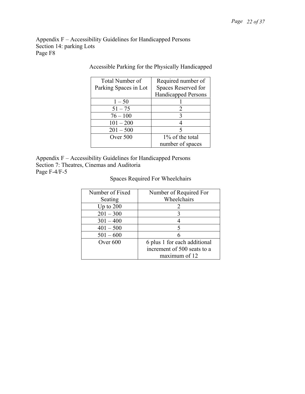Appendix F – Accessibility Guidelines for Handicapped Persons Section 14: parking Lots Page F8

| Total Number of       | Required number of  |
|-----------------------|---------------------|
| Parking Spaces in Lot | Spaces Reserved for |
|                       | Handicapped Persons |
| $1 - 50$              |                     |
| $51 - 75$             | 2                   |
| $76 - 100$            | 3                   |
| $101 - 200$           |                     |
| $201 - 500$           | 5                   |
| Over 500              | 1% of the total     |
|                       | number of spaces    |

Accessible Parking for the Physically Handicapped

Appendix F – Accessibility Guidelines for Handicapped Persons Section 7: Theatres, Cinemas and Auditoria Page F-4/F-5

#### Spaces Required For Wheelchairs

| Number of Fixed | Number of Required For       |
|-----------------|------------------------------|
| Seating         | Wheelchairs                  |
| Up to $200$     |                              |
| $201 - 300$     |                              |
| $301 - 400$     |                              |
| $401 - 500$     |                              |
| $501 - 600$     |                              |
| Over 600        | 6 plus 1 for each additional |
|                 | increment of 500 seats to a  |
|                 | maximum of 12                |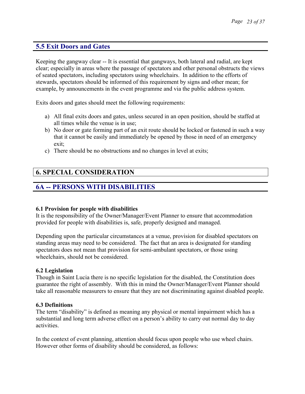#### **5.5 Exit Doors and Gates**

Keeping the gangway clear -- It is essential that gangways, both lateral and radial, are kept clear; especially in areas where the passage of spectators and other personal obstructs the views of seated spectators, including spectators using wheelchairs. In addition to the efforts of stewards, spectators should be informed of this requirement by signs and other mean; for example, by announcements in the event programme and via the public address system.

Exits doors and gates should meet the following requirements:

- a) All final exits doors and gates, unless secured in an open position, should be staffed at all times while the venue is in use;
- b) No door or gate forming part of an exit route should be locked or fastened in such a way that it cannot be easily and immediately be opened by those in need of an emergency exit;
- c) There should be no obstructions and no changes in level at exits;

# **6. SPECIAL CONSIDERATION**

# **6A -- PERSONS WITH DISABILITIES**

#### **6.1 Provision for people with disabilities**

It is the responsibility of the Owner/Manager/Event Planner to ensure that accommodation provided for people with disabilities is, safe, properly designed and managed.

Depending upon the particular circumstances at a venue, provision for disabled spectators on standing areas may need to be considered. The fact that an area is designated for standing spectators does not mean that provision for semi-ambulant spectators, or those using wheelchairs, should not be considered.

#### **6.2 Legislation**

Though in Saint Lucia there is no specific legislation for the disabled, the Constitution does guarantee the right of assembly. With this in mind the Owner/Manager/Event Planner should take all reasonable measurers to ensure that they are not discriminating against disabled people.

#### **6.3 Definitions**

The term "disability" is defined as meaning any physical or mental impairment which has a substantial and long term adverse effect on a person's ability to carry out normal day to day activities.

In the context of event planning, attention should focus upon people who use wheel chairs. However other forms of disability should be considered, as follows: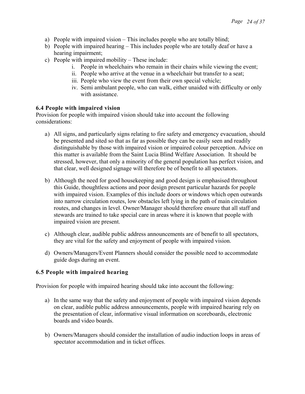- a) People with impaired vision This includes people who are totally blind;
- b) People with impaired hearing This includes people who are totally deaf or have a hearing impairment;
- c) People with impaired mobility These include:
	- i. People in wheelchairs who remain in their chairs while viewing the event;
	- ii. People who arrive at the venue in a wheelchair but transfer to a seat;
	- iii. People who view the event from their own special vehicle;
	- iv. Semi ambulant people, who can walk, either unaided with difficulty or only with assistance

#### **6.4 People with impaired vision**

Provision for people with impaired vision should take into account the following considerations:

- a) All signs, and particularly signs relating to fire safety and emergency evacuation, should be presented and sited so that as far as possible they can be easily seen and readily distinguishable by those with impaired vision or impaired colour perception. Advice on this matter is available from the Saint Lucia Blind Welfare Association. It should be stressed, however, that only a minority of the general population has perfect vision, and that clear, well designed signage will therefore be of benefit to all spectators.
- b) Although the need for good housekeeping and good design is emphasised throughout this Guide, thoughtless actions and poor design present particular hazards for people with impaired vision. Examples of this include doors or windows which open outwards into narrow circulation routes, low obstacles left lying in the path of main circulation routes, and changes in level. Owner/Manager should therefore ensure that all staff and stewards are trained to take special care in areas where it is known that people with impaired vision are present.
- c) Although clear, audible public address announcements are of benefit to all spectators, they are vital for the safety and enjoyment of people with impaired vision.
- d) Owners/Managers/Event Planners should consider the possible need to accommodate guide dogs during an event.

#### **6.5 People with impaired hearing**

Provision for people with impaired hearing should take into account the following:

- a) In the same way that the safety and enjoyment of people with impaired vision depends on clear, audible public address announcements, people with impaired hearing rely on the presentation of clear, informative visual information on scoreboards, electronic boards and video boards.
- b) Owners/Managers should consider the installation of audio induction loops in areas of spectator accommodation and in ticket offices.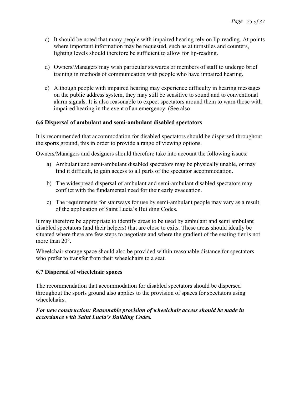- c) It should be noted that many people with impaired hearing rely on lip-reading. At points where important information may be requested, such as at turnstiles and counters, lighting levels should therefore be sufficient to allow for lip-reading.
- d) Owners/Managers may wish particular stewards or members of staff to undergo brief training in methods of communication with people who have impaired hearing.
- e) Although people with impaired hearing may experience difficulty in hearing messages on the public address system, they may still be sensitive to sound and to conventional alarm signals. It is also reasonable to expect spectators around them to warn those with impaired hearing in the event of an emergency. (See also

#### **6.6 Dispersal of ambulant and semi-ambulant disabled spectators**

It is recommended that accommodation for disabled spectators should be dispersed throughout the sports ground, this in order to provide a range of viewing options.

Owners/Managers and designers should therefore take into account the following issues:

- a) Ambulant and semi-ambulant disabled spectators may be physically unable, or may find it difficult, to gain access to all parts of the spectator accommodation.
- b) The widespread dispersal of ambulant and semi-ambulant disabled spectators may conflict with the fundamental need for their early evacuation.
- c) The requirements for stairways for use by semi-ambulant people may vary as a result of the application of Saint Lucia's Building Codes.

It may therefore be appropriate to identify areas to be used by ambulant and semi ambulant disabled spectators (and their helpers) that are close to exits. These areas should ideally be situated where there are few steps to negotiate and where the gradient of the seating tier is not more than 20°.

Wheelchair storage space should also be provided within reasonable distance for spectators who prefer to transfer from their wheelchairs to a seat.

#### **6.7 Dispersal of wheelchair spaces**

The recommendation that accommodation for disabled spectators should be dispersed throughout the sports ground also applies to the provision of spaces for spectators using wheelchairs.

*For new construction: Reasonable provision of wheelchair access should be made in accordance with Saint Lucia's Building Codes.*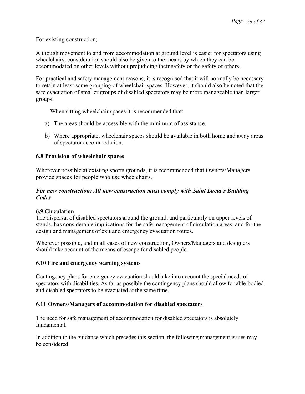For existing construction;

Although movement to and from accommodation at ground level is easier for spectators using wheelchairs, consideration should also be given to the means by which they can be accommodated on other levels without prejudicing their safety or the safety of others.

For practical and safety management reasons, it is recognised that it will normally be necessary to retain at least some grouping of wheelchair spaces. However, it should also be noted that the safe evacuation of smaller groups of disabled spectators may be more manageable than larger groups.

When sitting wheelchair spaces it is recommended that:

- a) The areas should be accessible with the minimum of assistance.
- b) Where appropriate, wheelchair spaces should be available in both home and away areas of spectator accommodation.

#### **6.8 Provision of wheelchair spaces**

Wherever possible at existing sports grounds, it is recommended that Owners/Managers provide spaces for people who use wheelchairs.

#### *For new construction: All new construction must comply with Saint Lucia's Building Codes.*

#### **6.9 Circulation**

The dispersal of disabled spectators around the ground, and particularly on upper levels of stands, has considerable implications for the safe management of circulation areas, and for the design and management of exit and emergency evacuation routes.

Wherever possible, and in all cases of new construction, Owners/Managers and designers should take account of the means of escape for disabled people.

#### **6.10 Fire and emergency warning systems**

Contingency plans for emergency evacuation should take into account the special needs of spectators with disabilities. As far as possible the contingency plans should allow for able-bodied and disabled spectators to be evacuated at the same time.

#### **6.11 Owners/Managers of accommodation for disabled spectators**

The need for safe management of accommodation for disabled spectators is absolutely fundamental.

In addition to the guidance which precedes this section, the following management issues may be considered.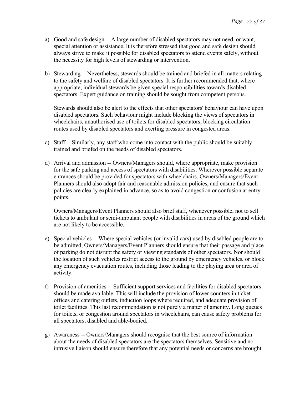- a) Good and safe design -- A large number of disabled spectators may not need, or want, special attention or assistance. It is therefore stressed that good and safe design should always strive to make it possible for disabled spectators to attend events safely, without the necessity for high levels of stewarding or intervention.
- b) Stewarding -- Nevertheless, stewards should be trained and briefed in all matters relating to the safety and welfare of disabled spectators. It is further recommended that, where appropriate, individual stewards be given special responsibilities towards disabled spectators. Expert guidance on training should be sought from competent persons.

Stewards should also be alert to the effects that other spectators' behaviour can have upon disabled spectators. Such behaviour might include blocking the views of spectators in wheelchairs, unauthorised use of toilets for disabled spectators, blocking circulation routes used by disabled spectators and exerting pressure in congested areas.

- c) Staff -- Similarly, any staff who come into contact with the public should be suitably trained and briefed on the needs of disabled spectators.
- d) Arrival and admission -- Owners/Managers should, where appropriate, make provision for the safe parking and access of spectators with disabilities. Wherever possible separate entrances should be provided for spectators with wheelchairs. Owners/Managers/Event Planners should also adopt fair and reasonable admission policies, and ensure that such policies are clearly explained in advance, so as to avoid congestion or confusion at entry points.

Owners/Managers/Event Planners should also brief staff, whenever possible, not to sell tickets to ambulant or semi-ambulant people with disabilities in areas of the ground which are not likely to be accessible.

- e) Special vehicles -- Where special vehicles (or invalid cars) used by disabled people are to be admitted, Owners/Managers/Event Planners should ensure that their passage and place of parking do not disrupt the safety or viewing standards of other spectators. Nor should the location of such vehicles restrict access to the ground by emergency vehicles, or block any emergency evacuation routes, including those leading to the playing area or area of activity.
- f) Provision of amenities -- Sufficient support services and facilities for disabled spectators should be made available. This will include the provision of lower counters in ticket offices and catering outlets, induction loops where required, and adequate provision of toilet facilities. This last recommendation is not purely a matter of amenity. Long queues for toilets, or congestion around spectators in wheelchairs, can cause safety problems for all spectators, disabled and able-bodied.
- g) Awareness -- Owners/Managers should recognise that the best source of information about the needs of disabled spectators are the spectators themselves. Sensitive and no intrusive liaison should ensure therefore that any potential needs or concerns are brought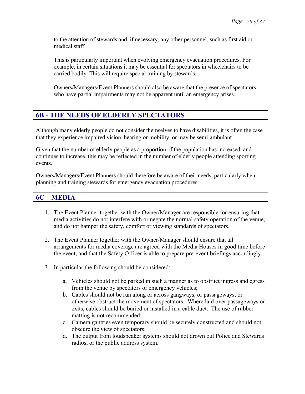to the attention of stewards and, if necessary, any other personnel, such as first aid or medical staff.

This is particularly important when evolving emergency evacuation procedures. For example, in certain situations it may be essential for spectators in wheelchairs to be carried bodily. This will require special training by stewards.

Owners/Managers/Event Planners should also be aware that the presence of spectators who have partial impairments may not be apparent until an emergency arises.

## **6B - THE NEEDS OF ELDERLY SPECTATORS**

Although many elderly people do not consider themselves to have disabilities, it is often the case that they experience impaired vision, hearing or mobility, or may be semi-ambulant.

Given that the number of elderly people as a proportion of the population has increased, and continues to increase, this may be reflected in the number of elderly people attending sporting events.

Owners/Managers/Event Planners should therefore be aware of their needs, particularly when planning and training stewards for emergency evacuation procedures.

#### **6C – MEDIA**

- 1. The Event Planner together with the Owner/Manager are responsible for ensuring that media activities do not interfere with or negate the normal safety operation of the venue, and do not hamper the safety, comfort or viewing standards of spectators.
- 2. The Event Planner together with the Owner/Manager should ensure that all arrangements for media coverage are agreed with the Media Houses in good time before the event, and that the Safety Officer is able to prepare pre-event briefings accordingly.
- 3. In particular the following should be considered:
	- a. Vehicles should not be parked in such a manner as to obstruct ingress and egress from the venue by spectators or emergency vehicles;
	- b. Cables should not be run along or across gangways, or passageways, or otherwise obstruct the movement of spectators. Where laid over passageways or exits, cables should be buried or installed in a cable duct. The use of rubber matting is not recommended;
	- c. Camera gantries even temporary should be securely constructed and should not obscure the view of spectators;
	- d. The output from loudspeaker systems should not drown out Police and Stewards radios, or the public address system.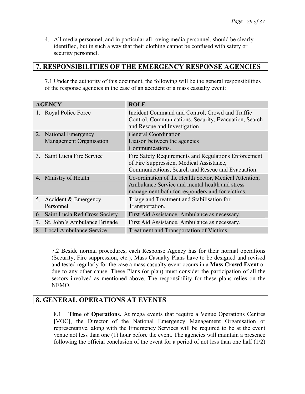4. All media personnel, and in particular all roving media personnel, should be clearly identified, but in such a way that their clothing cannot be confused with safety or security personnel.

## **7. RESPONSIBILITIES OF THE EMERGENCY RESPONSE AGENCIES**

7.1 Under the authority of this document, the following will be the general responsibilities of the response agencies in the case of an accident or a mass casualty event:

| <b>AGENCY</b> |                                                         | <b>ROLE</b>                                                                                                                                                 |
|---------------|---------------------------------------------------------|-------------------------------------------------------------------------------------------------------------------------------------------------------------|
|               | Royal Police Force                                      | Incident Command and Control, Crowd and Traffic<br>Control, Communications, Security, Evacuation, Search<br>and Rescue and Investigation.                   |
|               | 2. National Emergency<br><b>Management Organisation</b> | <b>General Coordination</b><br>Liaison between the agencies<br>Communications.                                                                              |
| 3             | Saint Lucia Fire Service                                | Fire Safety Requirements and Regulations Enforcement<br>of Fire Suppression, Medical Assistance,<br>Communications, Search and Rescue and Evacuation.       |
| $4_{\cdot}$   | Ministry of Health                                      | Co-ordination of the Health Sector, Medical Attention,<br>Ambulance Service and mental health and stress<br>management both for responders and for victims. |
| Personnel     | 5. Accident & Emergency                                 | Triage and Treatment and Stabilisation for<br>Transportation.                                                                                               |
| 6.            | Saint Lucia Red Cross Society                           | First Aid Assistance, Ambulance as necessary.                                                                                                               |
| 7.            | St. John's Ambulance Brigade                            | First Aid Assistance, Ambulance as necessary.                                                                                                               |
|               | 8. Local Ambulance Service                              | Treatment and Transportation of Victims.                                                                                                                    |

7.2 Beside normal procedures, each Response Agency has for their normal operations (Security, Fire suppression, etc.), Mass Casualty Plans have to be designed and revised and tested regularly for the case a mass casualty event occurs in a **Mass Crowd Event** or due to any other cause. These Plans (or plan) must consider the participation of all the sectors involved as mentioned above. The responsibility for these plans relies on the NEMO.

# **8. GENERAL OPERATIONS AT EVENTS**

8.1 **Time of Operations.** At mega events that require a Venue Operations Centres [VOC], the Director of the National Emergency Management Organisation or representative, along with the Emergency Services will be required to be at the event venue not less than one (1) hour before the event. The agencies will maintain a presence following the official conclusion of the event for a period of not less than one half  $(1/2)$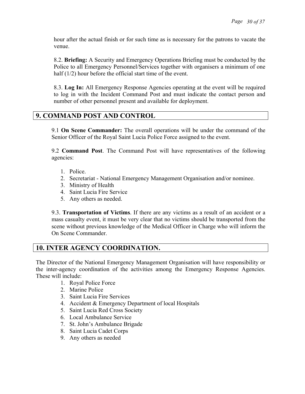hour after the actual finish or for such time as is necessary for the patrons to vacate the venue.

8.2. **Briefing:** A Security and Emergency Operations Briefing must be conducted by the Police to all Emergency Personnel/Services together with organisers a minimum of one half (1/2) hour before the official start time of the event.

8.3. **Log In:** All Emergency Response Agencies operating at the event will be required to log in with the Incident Command Post and must indicate the contact person and number of other personnel present and available for deployment.

# **9. COMMAND POST AND CONTROL**

9.1 **On Scene Commander:** The overall operations will be under the command of the Senior Officer of the Royal Saint Lucia Police Force assigned to the event.

9.2 **Command Post**. The Command Post will have representatives of the following agencies:

- 1. Police.
- 2. Secretariat National Emergency Management Organisation and/or nominee.
- 3. Ministry of Health
- 4. Saint Lucia Fire Service
- 5. Any others as needed.

9.3. **Transportation of Victims**. If there are any victims as a result of an accident or a mass casualty event, it must be very clear that no victims should be transported from the scene without previous knowledge of the Medical Officer in Charge who will inform the On Scene Commander.

### **10. INTER AGENCY COORDINATION.**

The Director of the National Emergency Management Organisation will have responsibility or the inter-agency coordination of the activities among the Emergency Response Agencies. These will include:

- 1. Royal Police Force
- 2. Marine Police
- 3. Saint Lucia Fire Services
- 4. Accident & Emergency Department of local Hospitals
- 5. Saint Lucia Red Cross Society
- 6. Local Ambulance Service
- 7. St. John's Ambulance Brigade
- 8. Saint Lucia Cadet Corps
- 9. Any others as needed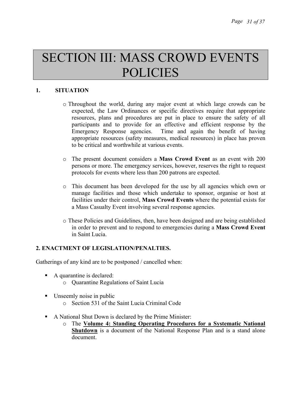# SECTION III: MASS CROWD EVENTS POLICIES

#### **1. SITUATION**

- o Throughout the world, during any major event at which large crowds can be expected, the Law Ordinances or specific directives require that appropriate resources, plans and procedures are put in place to ensure the safety of all participants and to provide for an effective and efficient response by the Emergency Response agencies. Time and again the benefit of having appropriate resources (safety measures, medical resources) in place has proven to be critical and worthwhile at various events.
- o The present document considers a **Mass Crowd Event** as an event with 200 persons or more. The emergency services, however, reserves the right to request protocols for events where less than 200 patrons are expected.
- o This document has been developed for the use by all agencies which own or manage facilities and those which undertake to sponsor, organise or host at facilities under their control, **Mass Crowd Events** where the potential exists for a Mass Casualty Event involving several response agencies.
- o These Policies and Guidelines, then, have been designed and are being established in order to prevent and to respond to emergencies during a **Mass Crowd Event**  in Saint Lucia.

#### **2. ENACTMENT OF LEGISLATION/PENALTIES.**

Gatherings of any kind are to be postponed / cancelled when:

- A quarantine is declared:
	- o Quarantine Regulations of Saint Lucia
- Unseemly noise in public
	- o Section 531 of the Saint Lucia Criminal Code
- A National Shut Down is declared by the Prime Minister:
	- o The **Volume 4: Standing Operating Procedures for a Systematic National Shutdown** is a document of the National Response Plan and is a stand alone document.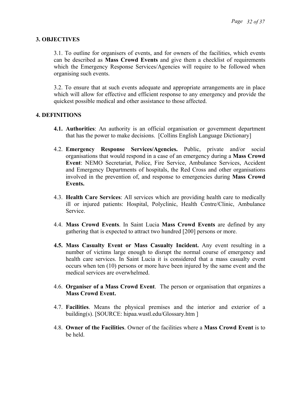#### **3. OBJECTIVES**

3.1. To outline for organisers of events, and for owners of the facilities, which events can be described as **Mass Crowd Events** and give them a checklist of requirements which the Emergency Response Services/Agencies will require to be followed when organising such events.

3.2. To ensure that at such events adequate and appropriate arrangements are in place which will allow for effective and efficient response to any emergency and provide the quickest possible medical and other assistance to those affected.

#### **4. DEFINITIONS**

- **4.1. Authorities**: An authority is an official organisation or government department that has the power to make decisions. [Collins English Language Dictionary]
- 4.2. **Emergency Response Services/Agencies.** Public, private and/or social organisations that would respond in a case of an emergency during a **Mass Crowd Event**: NEMO Secretariat, Police, Fire Service, Ambulance Services, Accident and Emergency Departments of hospitals, the Red Cross and other organisations involved in the prevention of, and response to emergencies during **Mass Crowd Events.**
- 4.3. **Health Care Services**: All services which are providing health care to medically ill or injured patients: Hospital, Polyclinic, Health Centre/Clinic, Ambulance Service.
- 4.4. **Mass Crowd Events**. In Saint Lucia **Mass Crowd Events** are defined by any gathering that is expected to attract two hundred [200] persons or more.
- **4.5. Mass Casualty Event or Mass Casualty Incident.** Any event resulting in a number of victims large enough to disrupt the normal course of emergency and health care services. In Saint Lucia it is considered that a mass casualty event occurs when ten (10) persons or more have been injured by the same event and the medical services are overwhelmed.
- 4.6. **Organiser of a Mass Crowd Event**. The person or organisation that organizes a **Mass Crowd Event.**
- 4.7. **Facilities**. Means the physical premises and the interior and exterior of a building(s). [SOURCE: hipaa.wustl.edu/Glossary.htm ]
- 4.8. **Owner of the Facilities**. Owner of the facilities where a **Mass Crowd Event** is to be held.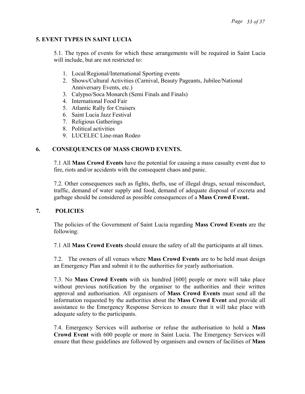#### **5. EVENT TYPES IN SAINT LUCIA**

5.1. The types of events for which these arrangements will be required in Saint Lucia will include, but are not restricted to:

- 1. Local/Regional/International Sporting events
- 2. Shows/Cultural Activities (Carnival, Beauty Pageants, Jubilee/National Anniversary Events, etc.)
- 3. Calypso/Soca Monarch (Semi Finals and Finals)
- 4. International Food Fair
- 5. Atlantic Rally for Cruisers
- 6. Saint Lucia Jazz Festival
- 7. Religious Gatherings
- 8. Political activities
- 9. LUCELEC Line-man Rodeo

#### **6. CONSEQUENCES OF MASS CROWD EVENTS.**

7.1 All **Mass Crowd Events** have the potential for causing a mass casualty event due to fire, riots and/or accidents with the consequent chaos and panic.

7.2. Other consequences such as fights, thefts, use of illegal drugs, sexual misconduct, traffic, demand of water supply and food, demand of adequate disposal of excreta and garbage should be considered as possible consequences of a **Mass Crowd Event.** 

#### **7. POLICIES**

The policies of the Government of Saint Lucia regarding **Mass Crowd Events** are the following:

7.1 All **Mass Crowd Events** should ensure the safety of all the participants at all times.

7.2. The owners of all venues where **Mass Crowd Events** are to be held must design an Emergency Plan and submit it to the authorities for yearly authorisation.

7.3. No **Mass Crowd Events** with six hundred [600] people or more will take place without previous notification by the organiser to the authorities and their written approval and authorisation. All organisers of **Mass Crowd Events** must send all the information requested by the authorities about the **Mass Crowd Event** and provide all assistance to the Emergency Response Services to ensure that it will take place with adequate safety to the participants.

7.4. Emergency Services will authorise or refuse the authorisation to hold a **Mass Crowd Event** with 600 people or more in Saint Lucia. The Emergency Services will ensure that these guidelines are followed by organisers and owners of facilities of **Mass**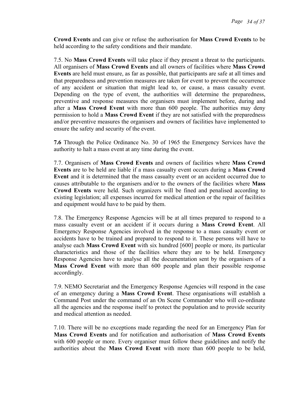**Crowd Events** and can give or refuse the authorisation for **Mass Crowd Events** to be held according to the safety conditions and their mandate.

7.5. No **Mass Crowd Events** will take place if they present a threat to the participants. All organisers of **Mass Crowd Events** and all owners of facilities where **Mass Crowd Events** are held must ensure, as far as possible, that participants are safe at all times and that preparedness and prevention measures are taken for event to prevent the occurrence of any accident or situation that might lead to, or cause, a mass casualty event. Depending on the type of event, the authorities will determine the preparedness, preventive and response measures the organisers must implement before, during and after a **Mass Crowd Event** with more than 600 people. The authorities may deny permission to hold a **Mass Crowd Event** if they are not satisfied with the preparedness and/or preventive measures the organisers and owners of facilities have implemented to ensure the safety and security of the event.

**7.6** Through the Police Ordinance No. 30 of 1965 the Emergency Services have the authority to halt a mass event at any time during the event.

7.7. Organisers of **Mass Crowd Events** and owners of facilities where **Mass Crowd Events** are to be held are liable if a mass casualty event occurs during a **Mass Crowd Event** and it is determined that the mass casualty event or an accident occurred due to causes attributable to the organisers and/or to the owners of the facilities where **Mass Crowd Events** were held. Such organizers will be fined and penalised according to existing legislation; all expenses incurred for medical attention or the repair of facilities and equipment would have to be paid by them.

7.8. The Emergency Response Agencies will be at all times prepared to respond to a mass casualty event or an accident if it occurs during a **Mass Crowd Event**. All Emergency Response Agencies involved in the response to a mass casualty event or accidents have to be trained and prepared to respond to it. These persons will have to analyse each **Mass Crowd Event** with six hundred [600] people or more, its particular characteristics and those of the facilities where they are to be held. Emergency Response Agencies have to analyse all the documentation sent by the organisers of a **Mass Crowd Event** with more than 600 people and plan their possible response accordingly.

7.9. NEMO Secretariat and the Emergency Response Agencies will respond in the case of an emergency during a **Mass Crowd Event**. These organisations will establish a Command Post under the command of an On Scene Commander who will co-ordinate all the agencies and the response itself to protect the population and to provide security and medical attention as needed.

7.10. There will be no exceptions made regarding the need for an Emergency Plan for **Mass Crowd Events** and for notification and authorisation of **Mass Crowd Events**  with 600 people or more. Every organiser must follow these guidelines and notify the authorities about the **Mass Crowd Event** with more than 600 people to be held,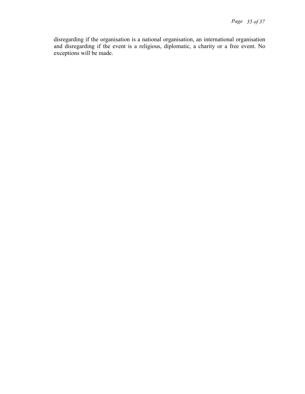disregarding if the organisation is a national organisation, an international organisation and disregarding if the event is a religious, diplomatic, a charity or a free event. No exceptions will be made.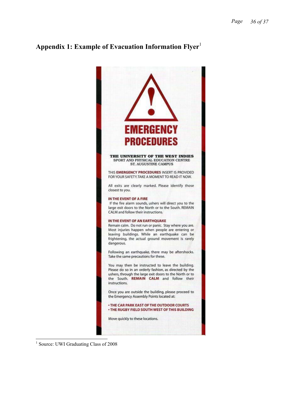# **Appendix 1: Example of Evacuation Information Flyer**<sup>1</sup>



<sup>&</sup>lt;sup>1</sup> Source: UWI Graduating Class of 2008

 $\overline{\phantom{a}}$